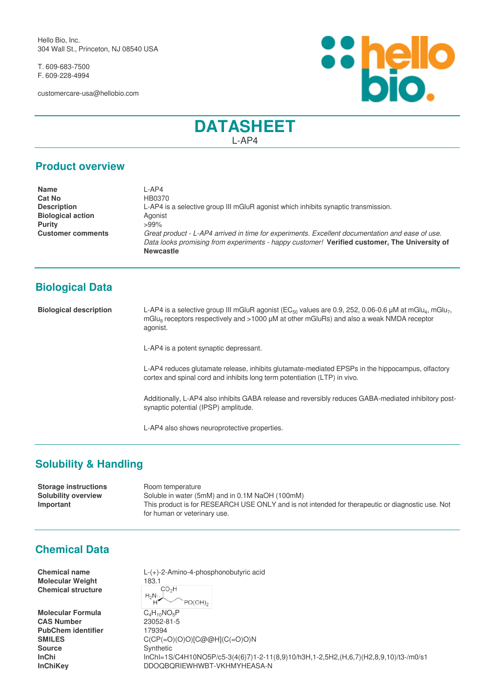Hello Bio, Inc. 304 Wall St., Princeton, NJ 08540 USA

T. 609-683-7500 F. 609-228-4994

customercare-usa@hellobio.com



# **DATASHEET** L-AP4

#### **Product overview**

| <b>Name</b>              | -AP4                                                                                            |
|--------------------------|-------------------------------------------------------------------------------------------------|
| <b>Cat No</b>            | HB0370                                                                                          |
| <b>Description</b>       | L-AP4 is a selective group III mGluR agonist which inhibits synaptic transmission.              |
| <b>Biological action</b> | Agonist                                                                                         |
| <b>Purity</b>            | $>99\%$                                                                                         |
| <b>Customer comments</b> | Great product - L-AP4 arrived in time for experiments. Excellent documentation and ease of use. |
|                          | Data looks promising from experiments - happy customer! Verified customer, The University of    |
|                          | <b>Newcastle</b>                                                                                |

# **Biological Data**

**Biological description** L-AP4 is a selective group III mGluR agonist (EC<sub>50</sub> values are 0.9, 252, 0.06-0.6 μM at mGlu<sub>4</sub>, mGlu<sub>7</sub>, mGlu<sub>8</sub> receptors respectively and >1000 μM at other mGluRs) and also a weak NMDA receptor agonist.

L-AP4 is a potent synaptic depressant.

L-AP4 reduces glutamate release, inhibits glutamate-mediated EPSPs in the hippocampus, olfactory cortex and spinal cord and inhibits long term potentiation (LTP) in vivo.

Additionally, L-AP4 also inhibits GABA release and reversibly reduces GABA-mediated inhibitory postsynaptic potential (IPSP) amplitude.

L-AP4 also shows neuroprotective properties.

## **Solubility & Handling**

**Storage instructions** Room temperature **Solubility overview** Soluble in water (5mM) and in 0.1M NaOH (100mM)<br> **Important** This product is for RESEARCH USE ONLY and is no This product is for RESEARCH USE ONLY and is not intended for therapeutic or diagnostic use. Not for human or veterinary use.

## **Chemical Data**

**Molecular Weight** 183.1<br>Chemical structure **Chemical structure**

**Molecular Formula** C<sub>4</sub>H<sub>10</sub>NO<sub>5</sub>P<br>**CAS Number** 23052-81-5 **CAS Number** PubChem identifier 179394 **Source** Synthetic

**Chemical name** L-(+)-2-Amino-4-phosphonobutyric acid  $H_2N\ldots$  $PO(OH)_{2}$ 

**SMILES** C(CP(=O)(O)O)[C@@H](C(=O)O)N **InChi** InChI=1S/C4H10NO5P/c5-3(4(6)7)1-2-11(8,9)10/h3H,1-2,5H2,(H,6,7)(H2,8,9,10)/t3-/m0/s1 **InChiKey** DDOQBQRIEWHWBT-VKHMYHEASA-N